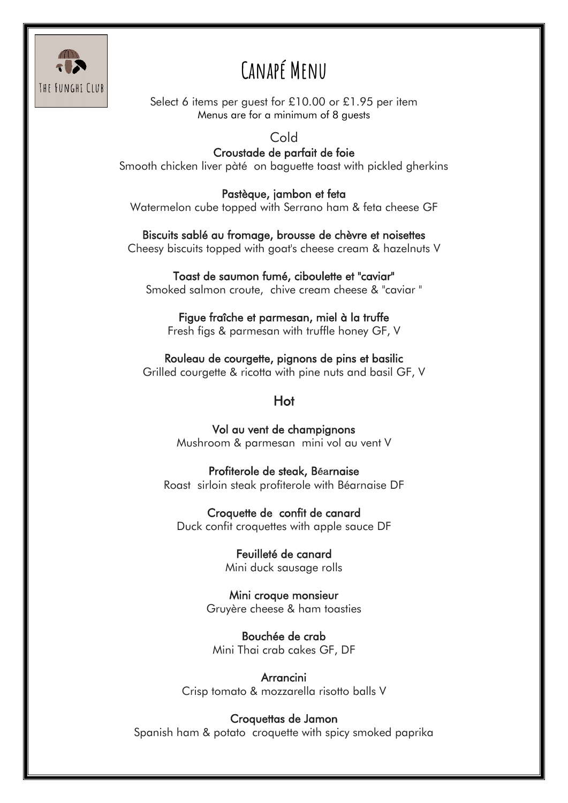

# **Canapé Menu**

Select 6 items per guest for £10.00 or £1.95 per item Menus are for a minimum of 8 guests

#### Cold

Croustade de parfait de foie Smooth chicken liver pàté on baguette toast with pickled gherkins

Pastèque, jambon et feta Watermelon cube topped with Serrano ham & feta cheese GF

Biscuits sablé au fromage, brousse de chèvre et noisettes Cheesy biscuits topped with goat's cheese cream & hazelnuts V

Toast de saumon fumé, ciboulette et "caviar" Smoked salmon croute, chive cream cheese & "caviar "

Figue fraîche et parmesan, miel à la truffe Fresh figs & parmesan with truffle honey GF, V

Rouleau de courgette, pignons de pins et basilic Grilled courgette & ricotta with pine nuts and basil GF, V

#### Hot

Vol au vent de champignons Mushroom & parmesan mini vol au vent V

Profiterole de steak, Béarnaise Roast sirloin steak profiterole with Béarnaise DF

Croquette de confit de canard Duck confit croquettes with apple sauce DF

> Feuilleté de canard Mini duck sausage rolls

Mini croque monsieur Gruyère cheese & ham toasties

Bouchée de crab Mini Thai crab cakes GF, DF

Arrancini Crisp tomato & mozzarella risotto balls V

#### Croquettas de Jamon

Spanish ham & potato croquette with spicy smoked paprika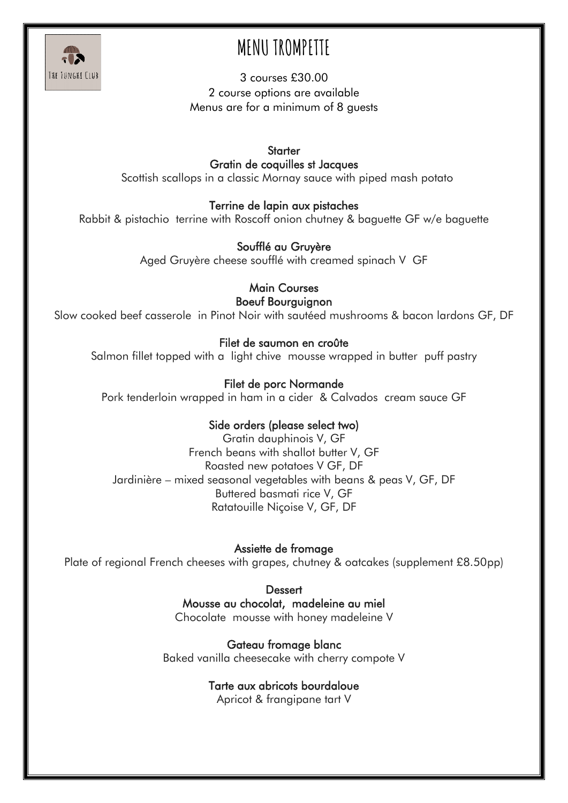

# **MENU TROMPETTE**

3 courses £30.00 2 course options are available Menus are for a minimum of 8 guests

**Starter** Gratin de coquilles st Jacques Scottish scallops in a classic Mornay sauce with piped mash potato

Terrine de lapin aux pistaches

Rabbit & pistachio terrine with Roscoff onion chutney & baguette GF w/e baguette

### Soufflé au Gruyère

Aged Gruyère cheese soufflé with creamed spinach V GF

Main Courses Boeuf Bourguignon

Slow cooked beef casserole in Pinot Noir with sautéed mushrooms & bacon lardons GF, DF

#### Filet de saumon en croûte

Salmon fillet topped with a light chive mousse wrapped in butter puff pastry

### Filet de porc Normande

Pork tenderloin wrapped in ham in a cider & Calvados cream sauce GF

#### Side orders (please select two)

Gratin dauphinois V, GF French beans with shallot butter V, GF Roasted new potatoes V GF, DF Jardinière – mixed seasonal vegetables with beans & peas V, GF, DF Buttered basmati rice V, GF Ratatouille Niçoise V, GF, DF

Assiette de fromage Plate of regional French cheeses with grapes, chutney & oatcakes (supplement £8.50pp)

> **Dessert** Mousse au chocolat, madeleine au miel Chocolate mousse with honey madeleine V

Gateau fromage blanc Baked vanilla cheesecake with cherry compote V

#### Tarte aux abricots bourdaloue

Apricot & frangipane tart V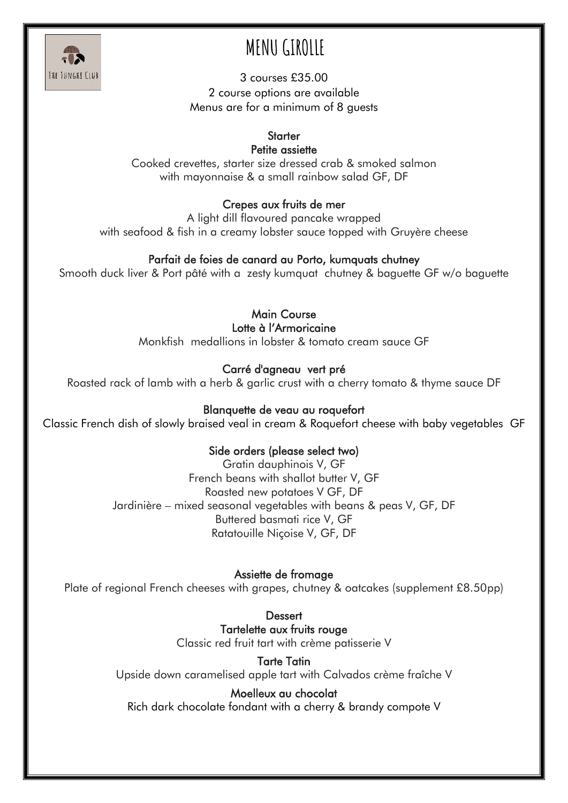

# **MENU GIROLLE**

3 courses £35.00 2 course options are available Menus are for a minimum of 8 guests

## **Starter**

Petite assiette

Cooked crevettes, starter size dressed crab & smoked salmon with mayonnaise & a small rainbow salad GF, DF

## Crepes aux fruits de mer

A light dill flavoured pancake wrapped with seafood & fish in a creamy lobster sauce topped with Gruyère cheese

## Parfait de foies de canard au Porto, kumquats chutney

Smooth duck liver & Port pâté with a zesty kumquat chutney & baguette GF w/o baguette

Main Course Lotte à l'Armoricaine

Monkfish medallions in lobster & tomato cream sauce GF

## Carré d'agneau vert pré

Roasted rack of lamb with a herb & garlic crust with a cherry tomato & thyme sauce DF

## Blanquette de veau au roquefort

Classic French dish of slowly braised veal in cream & Roquefort cheese with baby vegetables GF

## Side orders (please select two)

Gratin dauphinois V, GF French beans with shallot butter V, GF Roasted new potatoes V GF, DF Jardinière – mixed seasonal vegetables with beans & peas V, GF, DF Buttered basmati rice V, GF Ratatouille Niçoise V, GF, DF

## Assiette de fromage

Plate of regional French cheeses with grapes, chutney & oatcakes (supplement £8.50pp)

**Dessert** Tartelette aux fruits rouge Classic red fruit tart with crème patisserie V

Tarte Tatin Upside down caramelised apple tart with Calvados crème fraîche V

## Moelleux au chocolat

Rich dark chocolate fondant with a cherry & brandy compote V